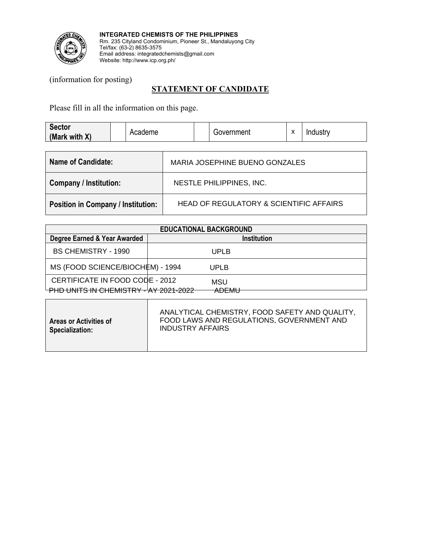

**INTEGRATED CHEMISTS OF THE PHILIPPINES** Rm. 235 Cityland Condominium, Pioneer St., Mandaluyong City Tel/fax: (63-2) 8635-3575 Email address: integratedchemists@gmail.com Website: http://www.icp.org.ph/

(information for posting)

## **STATEMENT OF CANDIDATE**

Please fill in all the information on this page.

| <b>Sector</b><br>(Mark with X)            | Academe |                                         |                          | Government                     | X | Industry |  |
|-------------------------------------------|---------|-----------------------------------------|--------------------------|--------------------------------|---|----------|--|
| Name of Candidate:                        |         |                                         |                          | MARIA JOSEPHINE BUENO GONZALES |   |          |  |
| <b>Company / Institution:</b>             |         |                                         | NESTLE PHILIPPINES, INC. |                                |   |          |  |
| <b>Position in Company / Institution:</b> |         | HEAD OF REGULATORY & SCIENTIFIC AFFAIRS |                          |                                |   |          |  |

| <b>EDUCATIONAL BACKGROUND</b>                                            |  |              |             |  |  |
|--------------------------------------------------------------------------|--|--------------|-------------|--|--|
| Degree Earned & Year Awarded                                             |  |              | Institution |  |  |
| <b>BS CHEMISTRY - 1990</b>                                               |  | UPLB         |             |  |  |
| MS (FOOD SCIENCE/BIOCHEM) - 1994                                         |  | UPLB         |             |  |  |
| CERTIFICATE IN FOOD CODE - 2012<br>PHD UNITS IN CHEMISTRY - AY 2021-2022 |  | MSU<br>ADEMU |             |  |  |
|                                                                          |  |              |             |  |  |

| <b>Areas or Activities of</b><br><b>Specialization:</b> | ANALYTICAL CHEMISTRY, FOOD SAFETY AND QUALITY,<br>FOOD LAWS AND REGULATIONS, GOVERNMENT AND<br><b>INDUSTRY AFFAIRS</b> |
|---------------------------------------------------------|------------------------------------------------------------------------------------------------------------------------|
|                                                         |                                                                                                                        |